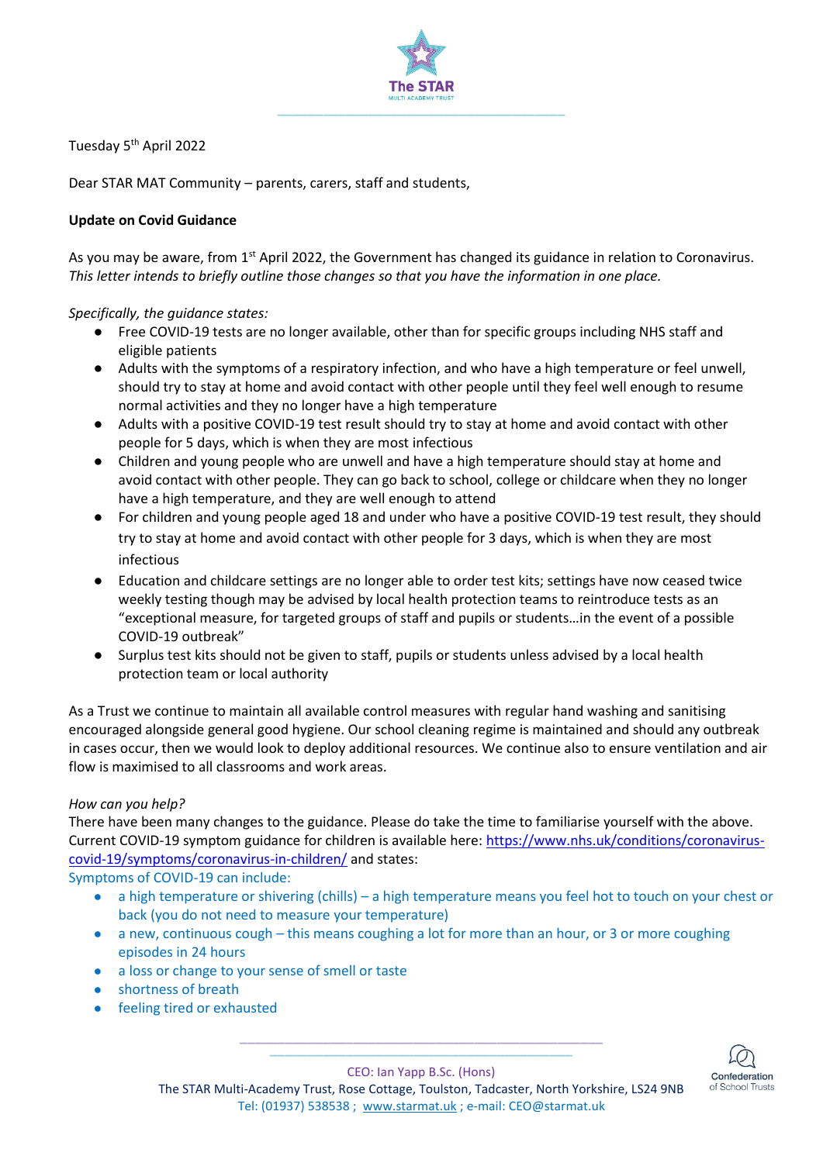

Tuesday 5<sup>th</sup> April 2022

Dear STAR MAT Community – parents, carers, staff and students,

## **Update on Covid Guidance**

As you may be aware, from 1<sup>st</sup> April 2022, the Government has changed its guidance in relation to Coronavirus. *This letter intends to briefly outline those changes so that you have the information in one place.*

*Specifically, the guidance states:*

- Free COVID-19 tests are no longer available, other than for specific groups including NHS staff and eligible patients
- Adults with the symptoms of a respiratory infection, and who have a high temperature or feel unwell, should try to stay at home and avoid contact with other people until they feel well enough to resume normal activities and they no longer have a high temperature
- Adults with a positive COVID-19 test result should try to stay at home and avoid contact with other people for 5 days, which is when they are most infectious
- Children and young people who are unwell and have a high temperature should stay at home and avoid contact with other people. They can go back to school, college or childcare when they no longer have a high temperature, and they are well enough to attend
- For children and young people aged 18 and under who have a positive COVID-19 test result, they should try to stay at home and avoid contact with other people for 3 days, which is when they are most infectious
- Education and childcare settings are no longer able to order test kits; settings have now ceased twice weekly testing though may be advised by local health protection teams to reintroduce tests as an "exceptional measure, for targeted groups of staff and pupils or students…in the event of a possible COVID-19 outbreak"
- Surplus test kits should not be given to staff, pupils or students unless advised by a local health protection team or local authority

As a Trust we continue to maintain all available control measures with regular hand washing and sanitising encouraged alongside general good hygiene. Our school cleaning regime is maintained and should any outbreak in cases occur, then we would look to deploy additional resources. We continue also to ensure ventilation and air flow is maximised to all classrooms and work areas.

## *How can you help?*

There have been many changes to the guidance. Please do take the time to familiarise yourself with the above. Current COVID-19 symptom guidance for children is available here[: https://www.nhs.uk/conditions/coronavirus](https://www.nhs.uk/conditions/coronavirus-covid-19/symptoms/coronavirus-in-children/)[covid-19/symptoms/coronavirus-in-children/](https://www.nhs.uk/conditions/coronavirus-covid-19/symptoms/coronavirus-in-children/) and states:

Symptoms of COVID-19 can include:

- a high temperature or shivering (chills) a high temperature means you feel hot to touch on your chest or back (you do not need to measure your temperature)
- a new, continuous cough this means coughing a lot for more than an hour, or 3 or more coughing episodes in 24 hours
- a loss or change to your sense of smell or taste
- shortness of breath
- feeling tired or exhausted



**\_\_\_\_\_\_\_\_\_\_\_\_\_\_\_\_\_\_\_\_\_\_\_\_\_\_\_\_\_\_\_\_\_\_\_\_\_\_\_\_** CEO: Ian Yapp B.Sc. (Hons)

**\_\_\_\_\_\_\_\_\_\_\_\_\_\_\_\_\_\_\_\_\_\_\_\_\_\_\_\_\_\_\_\_\_\_\_\_\_\_\_\_\_\_\_\_\_\_\_\_**